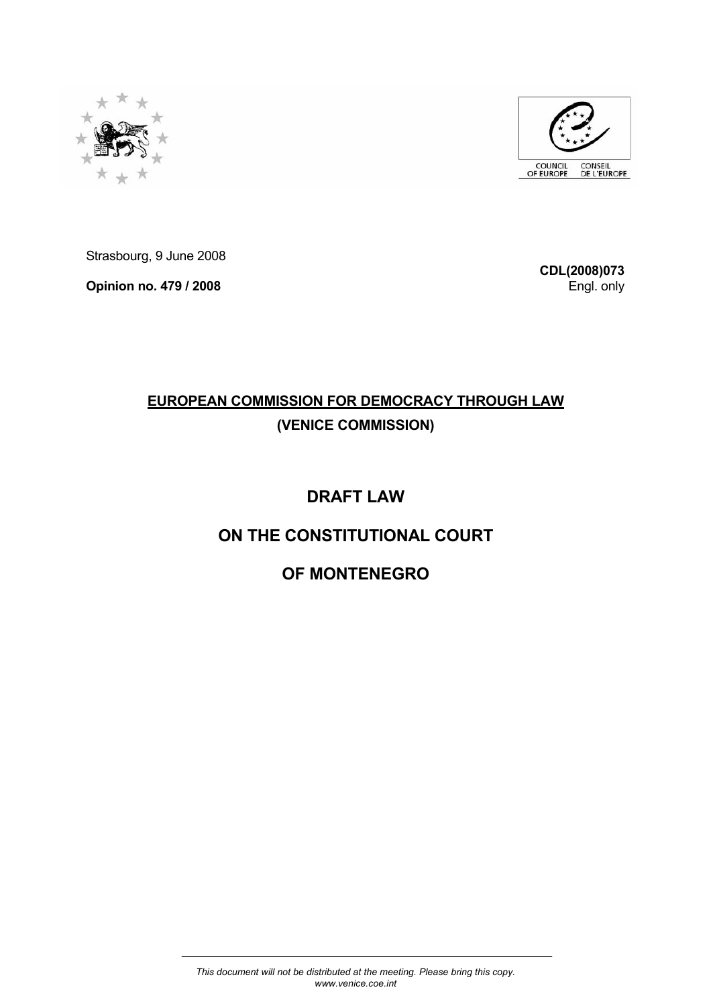



Strasbourg, 9 June 2008

**Opinion no. 479 / 2008** 

**CDL(2008)073** Engl. only

# **EUROPEAN COMMISSION FOR DEMOCRACY THROUGH LAW (VENICE COMMISSION)**

# **DRAFT LAW**

# **ON THE CONSTITUTIONAL COURT**

# **OF MONTENEGRO**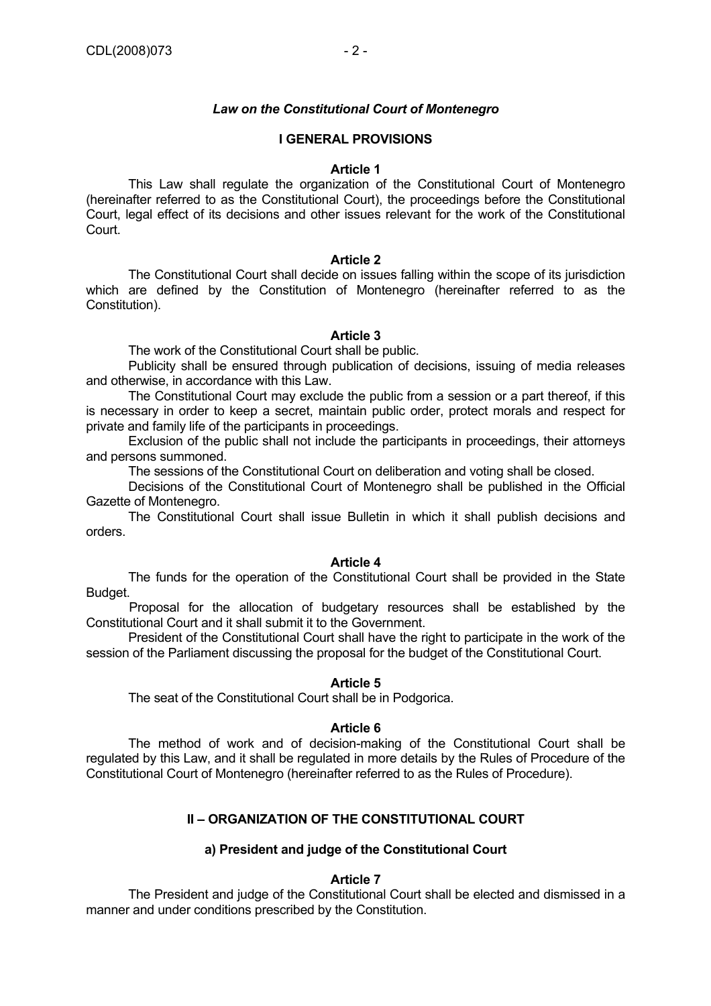# *Law on the Constitutional Court of Montenegro*

# **I GENERAL PROVISIONS**

#### **Article 1**

 This Law shall regulate the organization of the Constitutional Court of Montenegro (hereinafter referred to as the Constitutional Court), the proceedings before the Constitutional Court, legal effect of its decisions and other issues relevant for the work of the Constitutional Court.

# **Article 2**

 The Constitutional Court shall decide on issues falling within the scope of its jurisdiction which are defined by the Constitution of Montenegro (hereinafter referred to as the Constitution).

# **Article 3**

The work of the Constitutional Court shall be public.

 Publicity shall be ensured through publication of decisions, issuing of media releases and otherwise, in accordance with this Law.

 The Constitutional Court may exclude the public from a session or a part thereof, if this is necessary in order to keep a secret, maintain public order, protect morals and respect for private and family life of the participants in proceedings.

 Exclusion of the public shall not include the participants in proceedings, their attorneys and persons summoned.

The sessions of the Constitutional Court on deliberation and voting shall be closed.

 Decisions of the Constitutional Court of Montenegro shall be published in the Official Gazette of Montenegro.

 The Constitutional Court shall issue Bulletin in which it shall publish decisions and orders.

#### **Article 4**

 The funds for the operation of the Constitutional Court shall be provided in the State Budget.

Proposal for the allocation of budgetary resources shall be established by the Constitutional Court and it shall submit it to the Government.

 President of the Constitutional Court shall have the right to participate in the work of the session of the Parliament discussing the proposal for the budget of the Constitutional Court.

# **Article 5**

The seat of the Constitutional Court shall be in Podgorica.

#### **Article 6**

 The method of work and of decision-making of the Constitutional Court shall be regulated by this Law, and it shall be regulated in more details by the Rules of Procedure of the Constitutional Court of Montenegro (hereinafter referred to as the Rules of Procedure).

# **II – ORGANIZATION OF THE CONSTITUTIONAL COURT**

# **a) President and judge of the Constitutional Court**

# **Article 7**

The President and judge of the Constitutional Court shall be elected and dismissed in a manner and under conditions prescribed by the Constitution.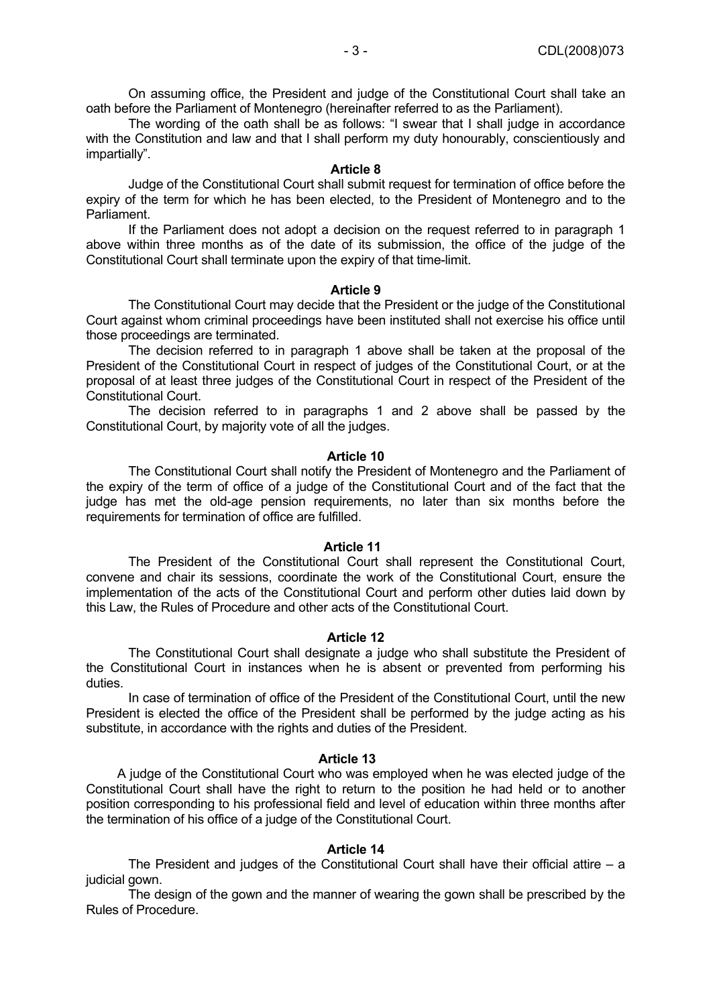The wording of the oath shall be as follows: "I swear that I shall judge in accordance with the Constitution and law and that I shall perform my duty honourably, conscientiously and impartially".

# **Article 8**

 Judge of the Constitutional Court shall submit request for termination of office before the expiry of the term for which he has been elected, to the President of Montenegro and to the Parliament.

 If the Parliament does not adopt a decision on the request referred to in paragraph 1 above within three months as of the date of its submission, the office of the judge of the Constitutional Court shall terminate upon the expiry of that time-limit.

### **Article 9**

 The Constitutional Court may decide that the President or the judge of the Constitutional Court against whom criminal proceedings have been instituted shall not exercise his office until those proceedings are terminated.

 The decision referred to in paragraph 1 above shall be taken at the proposal of the President of the Constitutional Court in respect of judges of the Constitutional Court, or at the proposal of at least three judges of the Constitutional Court in respect of the President of the Constitutional Court.

 The decision referred to in paragraphs 1 and 2 above shall be passed by the Constitutional Court, by majority vote of all the judges.

# **Article 10**

 The Constitutional Court shall notify the President of Montenegro and the Parliament of the expiry of the term of office of a judge of the Constitutional Court and of the fact that the judge has met the old-age pension requirements, no later than six months before the requirements for termination of office are fulfilled.

# **Article 11**

 The President of the Constitutional Court shall represent the Constitutional Court, convene and chair its sessions, coordinate the work of the Constitutional Court, ensure the implementation of the acts of the Constitutional Court and perform other duties laid down by this Law, the Rules of Procedure and other acts of the Constitutional Court.

# **Article 12**

 The Constitutional Court shall designate a judge who shall substitute the President of the Constitutional Court in instances when he is absent or prevented from performing his duties.

 In case of termination of office of the President of the Constitutional Court, until the new President is elected the office of the President shall be performed by the judge acting as his substitute, in accordance with the rights and duties of the President.

# **Article 13**

 A judge of the Constitutional Court who was employed when he was elected judge of the Constitutional Court shall have the right to return to the position he had held or to another position corresponding to his professional field and level of education within three months after the termination of his office of a judge of the Constitutional Court.

# **Article 14**

The President and judges of the Constitutional Court shall have their official attire  $-$  a judicial gown.

 The design of the gown and the manner of wearing the gown shall be prescribed by the Rules of Procedure.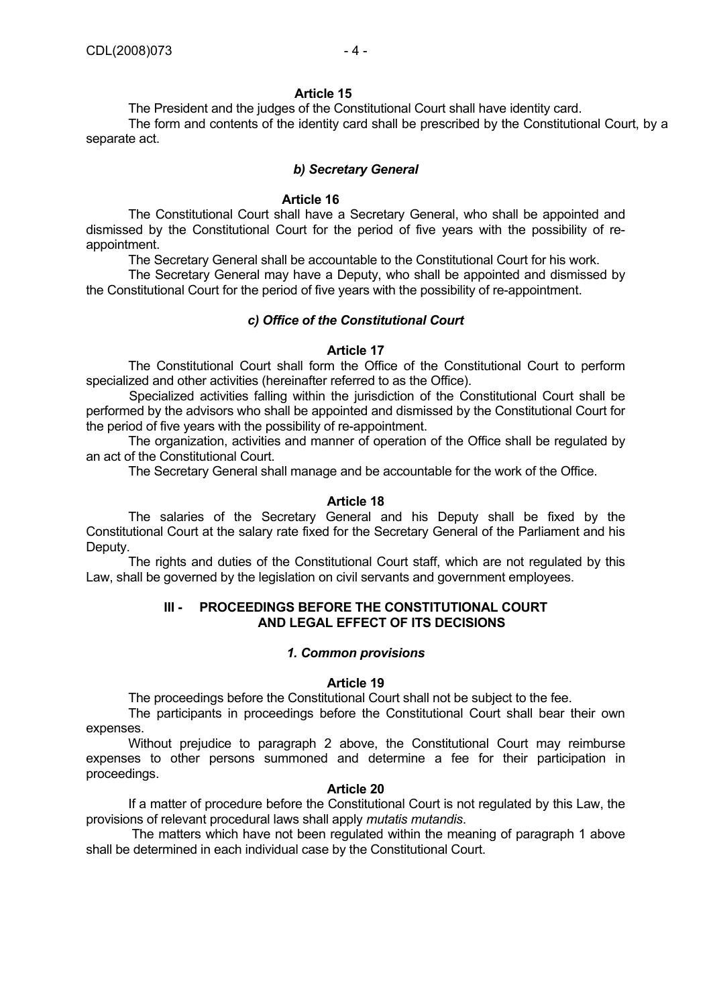The President and the judges of the Constitutional Court shall have identity card. The form and contents of the identity card shall be prescribed by the Constitutional Court, by a separate act.

## *b) Secretary General*

### **Article 16**

The Constitutional Court shall have a Secretary General, who shall be appointed and dismissed by the Constitutional Court for the period of five years with the possibility of reappointment.

The Secretary General shall be accountable to the Constitutional Court for his work.

 The Secretary General may have a Deputy, who shall be appointed and dismissed by the Constitutional Court for the period of five years with the possibility of re-appointment.

# *c) Office of the Constitutional Court*

### **Article 17**

 The Constitutional Court shall form the Office of the Constitutional Court to perform specialized and other activities (hereinafter referred to as the Office).

Specialized activities falling within the jurisdiction of the Constitutional Court shall be performed by the advisors who shall be appointed and dismissed by the Constitutional Court for the period of five years with the possibility of re-appointment.

 The organization, activities and manner of operation of the Office shall be regulated by an act of the Constitutional Court.

The Secretary General shall manage and be accountable for the work of the Office.

### **Article 18**

 The salaries of the Secretary General and his Deputy shall be fixed by the Constitutional Court at the salary rate fixed for the Secretary General of the Parliament and his Deputy.

 The rights and duties of the Constitutional Court staff, which are not regulated by this Law, shall be governed by the legislation on civil servants and government employees.

# **III - PROCEEDINGS BEFORE THE CONSTITUTIONAL COURT AND LEGAL EFFECT OF ITS DECISIONS**

# *1. Common provisions*

#### **Article 19**

The proceedings before the Constitutional Court shall not be subject to the fee.

 The participants in proceedings before the Constitutional Court shall bear their own expenses.

 Without prejudice to paragraph 2 above, the Constitutional Court may reimburse expenses to other persons summoned and determine a fee for their participation in proceedings.

#### **Article 20**

 If a matter of procedure before the Constitutional Court is not regulated by this Law, the provisions of relevant procedural laws shall apply *mutatis mutandis*.

 The matters which have not been regulated within the meaning of paragraph 1 above shall be determined in each individual case by the Constitutional Court.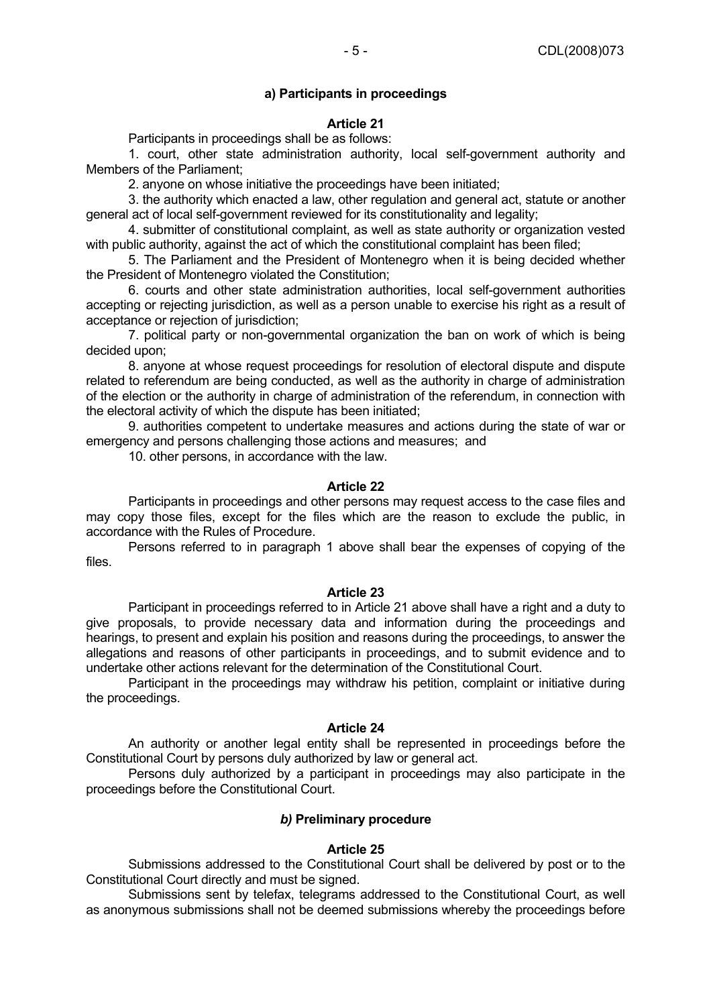## **a) Participants in proceedings**

#### **Article 21**

Participants in proceedings shall be as follows:

 1. court, other state administration authority, local self-government authority and Members of the Parliament;

2. anyone on whose initiative the proceedings have been initiated;

 3. the authority which enacted a law, other regulation and general act, statute or another general act of local self-government reviewed for its constitutionality and legality;

 4. submitter of constitutional complaint, as well as state authority or organization vested with public authority, against the act of which the constitutional complaint has been filed;

 5. The Parliament and the President of Montenegro when it is being decided whether the President of Montenegro violated the Constitution;

 6. courts and other state administration authorities, local self-government authorities accepting or rejecting jurisdiction, as well as a person unable to exercise his right as a result of acceptance or rejection of jurisdiction;

 7. political party or non-governmental organization the ban on work of which is being decided upon;

 8. anyone at whose request proceedings for resolution of electoral dispute and dispute related to referendum are being conducted, as well as the authority in charge of administration of the election or the authority in charge of administration of the referendum, in connection with the electoral activity of which the dispute has been initiated;

 9. authorities competent to undertake measures and actions during the state of war or emergency and persons challenging those actions and measures; and

10. other persons, in accordance with the law.

#### **Article 22**

 Participants in proceedings and other persons may request access to the case files and may copy those files, except for the files which are the reason to exclude the public, in accordance with the Rules of Procedure.

 Persons referred to in paragraph 1 above shall bear the expenses of copying of the files.

#### **Article 23**

 Participant in proceedings referred to in Article 21 above shall have a right and a duty to give proposals, to provide necessary data and information during the proceedings and hearings, to present and explain his position and reasons during the proceedings, to answer the allegations and reasons of other participants in proceedings, and to submit evidence and to undertake other actions relevant for the determination of the Constitutional Court.

 Participant in the proceedings may withdraw his petition, complaint or initiative during the proceedings.

#### **Article 24**

 An authority or another legal entity shall be represented in proceedings before the Constitutional Court by persons duly authorized by law or general act.

 Persons duly authorized by a participant in proceedings may also participate in the proceedings before the Constitutional Court.

# *b)* **Preliminary procedure**

#### **Article 25**

 Submissions addressed to the Constitutional Court shall be delivered by post or to the Constitutional Court directly and must be signed.

 Submissions sent by telefax, telegrams addressed to the Constitutional Court, as well as anonymous submissions shall not be deemed submissions whereby the proceedings before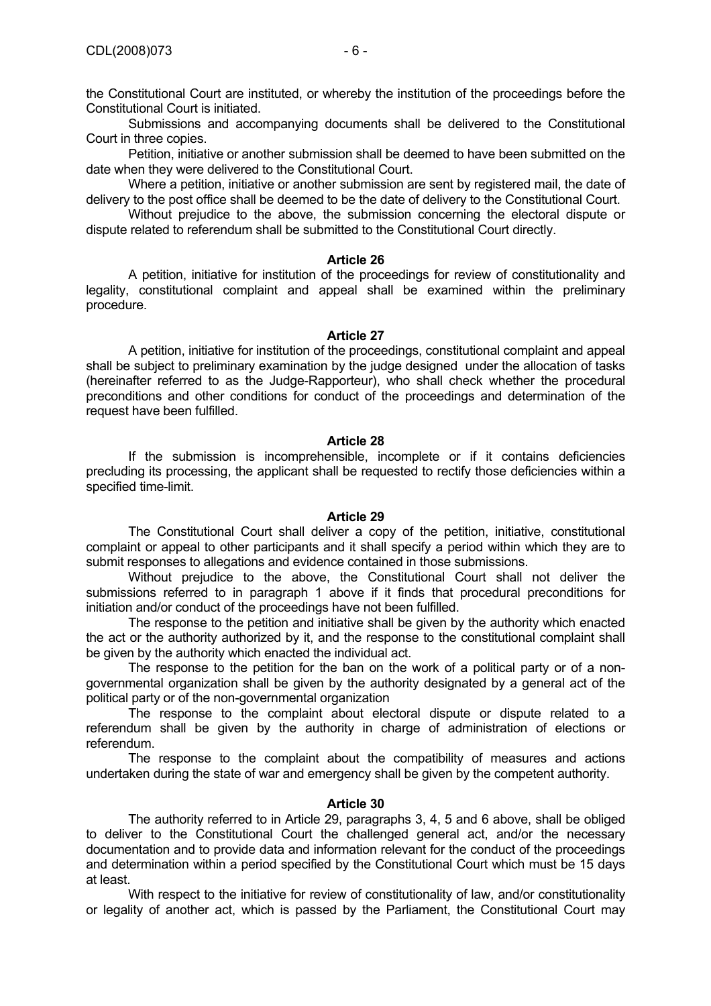the Constitutional Court are instituted, or whereby the institution of the proceedings before the Constitutional Court is initiated.

 Submissions and accompanying documents shall be delivered to the Constitutional Court in three copies.

 Petition, initiative or another submission shall be deemed to have been submitted on the date when they were delivered to the Constitutional Court.

 Where a petition, initiative or another submission are sent by registered mail, the date of delivery to the post office shall be deemed to be the date of delivery to the Constitutional Court.

Without prejudice to the above, the submission concerning the electoral dispute or dispute related to referendum shall be submitted to the Constitutional Court directly.

#### **Article 26**

 A petition, initiative for institution of the proceedings for review of constitutionality and legality, constitutional complaint and appeal shall be examined within the preliminary procedure.

#### **Article 27**

 A petition, initiative for institution of the proceedings, constitutional complaint and appeal shall be subject to preliminary examination by the judge designed under the allocation of tasks (hereinafter referred to as the Judge-Rapporteur), who shall check whether the procedural preconditions and other conditions for conduct of the proceedings and determination of the request have been fulfilled.

#### **Article 28**

 If the submission is incomprehensible, incomplete or if it contains deficiencies precluding its processing, the applicant shall be requested to rectify those deficiencies within a specified time-limit.

#### **Article 29**

 The Constitutional Court shall deliver a copy of the petition, initiative, constitutional complaint or appeal to other participants and it shall specify a period within which they are to submit responses to allegations and evidence contained in those submissions.

 Without prejudice to the above, the Constitutional Court shall not deliver the submissions referred to in paragraph 1 above if it finds that procedural preconditions for initiation and/or conduct of the proceedings have not been fulfilled.

 The response to the petition and initiative shall be given by the authority which enacted the act or the authority authorized by it, and the response to the constitutional complaint shall be given by the authority which enacted the individual act.

 The response to the petition for the ban on the work of a political party or of a nongovernmental organization shall be given by the authority designated by a general act of the political party or of the non-governmental organization

 The response to the complaint about electoral dispute or dispute related to a referendum shall be given by the authority in charge of administration of elections or referendum.

 The response to the complaint about the compatibility of measures and actions undertaken during the state of war and emergency shall be given by the competent authority.

# **Article 30**

 The authority referred to in Article 29, paragraphs 3, 4, 5 and 6 above, shall be obliged to deliver to the Constitutional Court the challenged general act, and/or the necessary documentation and to provide data and information relevant for the conduct of the proceedings and determination within a period specified by the Constitutional Court which must be 15 days at least.

 With respect to the initiative for review of constitutionality of law, and/or constitutionality or legality of another act, which is passed by the Parliament, the Constitutional Court may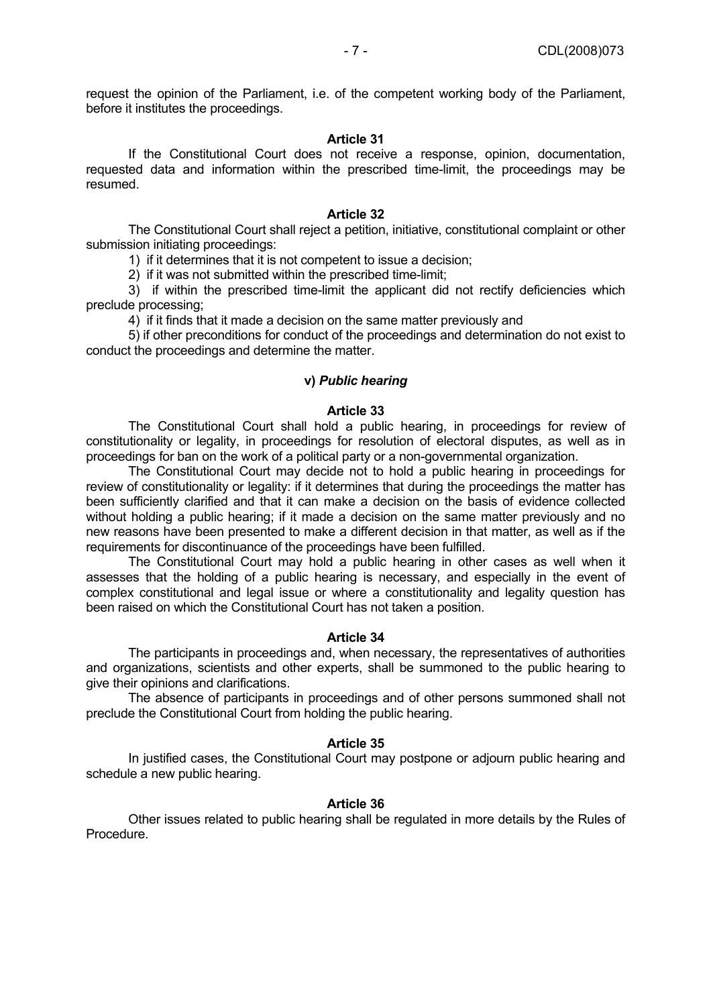request the opinion of the Parliament, i.e. of the competent working body of the Parliament, before it institutes the proceedings.

# **Article 31**

 If the Constitutional Court does not receive a response, opinion, documentation, requested data and information within the prescribed time-limit, the proceedings may be resumed.

## **Article 32**

 The Constitutional Court shall reject a petition, initiative, constitutional complaint or other submission initiating proceedings:

1) if it determines that it is not competent to issue a decision;

2) if it was not submitted within the prescribed time-limit;

 3) if within the prescribed time-limit the applicant did not rectify deficiencies which preclude processing;

4) if it finds that it made a decision on the same matter previously and

 5) if other preconditions for conduct of the proceedings and determination do not exist to conduct the proceedings and determine the matter.

### **v)** *Public hearing*

### **Article 33**

 The Constitutional Court shall hold a public hearing, in proceedings for review of constitutionality or legality, in proceedings for resolution of electoral disputes, as well as in proceedings for ban on the work of a political party or a non-governmental organization.

 The Constitutional Court may decide not to hold a public hearing in proceedings for review of constitutionality or legality: if it determines that during the proceedings the matter has been sufficiently clarified and that it can make a decision on the basis of evidence collected without holding a public hearing; if it made a decision on the same matter previously and no new reasons have been presented to make a different decision in that matter, as well as if the requirements for discontinuance of the proceedings have been fulfilled.

 The Constitutional Court may hold a public hearing in other cases as well when it assesses that the holding of a public hearing is necessary, and especially in the event of complex constitutional and legal issue or where a constitutionality and legality question has been raised on which the Constitutional Court has not taken a position.

### **Article 34**

 The participants in proceedings and, when necessary, the representatives of authorities and organizations, scientists and other experts, shall be summoned to the public hearing to give their opinions and clarifications.

 The absence of participants in proceedings and of other persons summoned shall not preclude the Constitutional Court from holding the public hearing.

#### **Article 35**

 In justified cases, the Constitutional Court may postpone or adjourn public hearing and schedule a new public hearing.

#### **Article 36**

 Other issues related to public hearing shall be regulated in more details by the Rules of Procedure.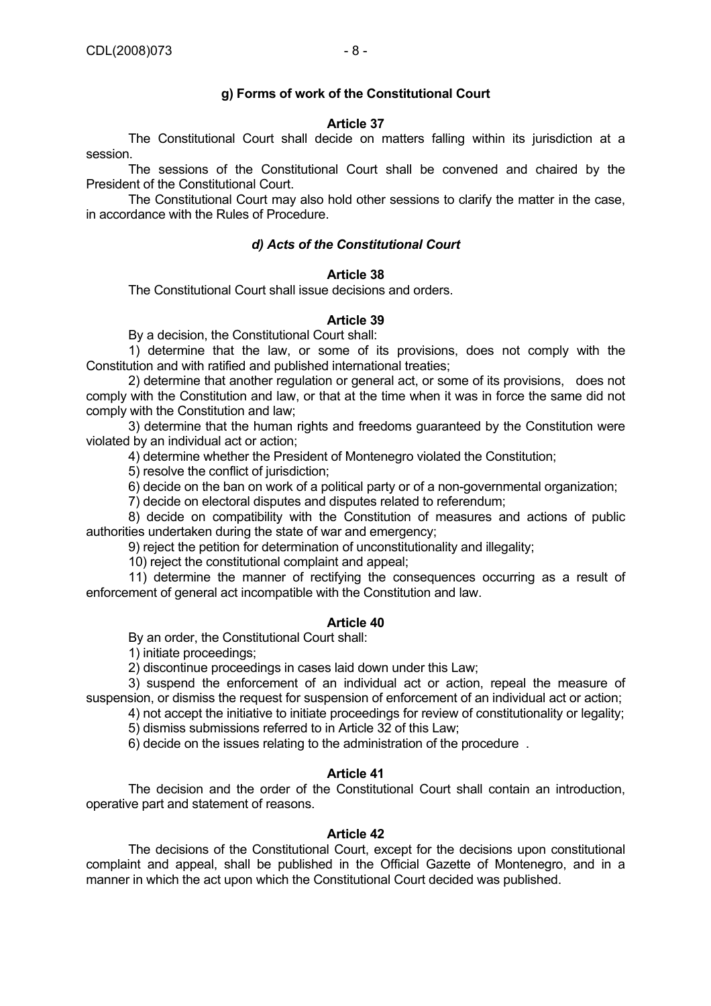# **g) Forms of work of the Constitutional Court**

# **Article 37**

 The Constitutional Court shall decide on matters falling within its jurisdiction at a session.

 The sessions of the Constitutional Court shall be convened and chaired by the President of the Constitutional Court.

 The Constitutional Court may also hold other sessions to clarify the matter in the case, in accordance with the Rules of Procedure.

# *d) Acts of the Constitutional Court*

### **Article 38**

The Constitutional Court shall issue decisions and orders.

# **Article 39**

By a decision, the Constitutional Court shall:

 1) determine that the law, or some of its provisions, does not comply with the Constitution and with ratified and published international treaties;

 2) determine that another regulation or general act, or some of its provisions, does not comply with the Constitution and law, or that at the time when it was in force the same did not comply with the Constitution and law;

 3) determine that the human rights and freedoms guaranteed by the Constitution were violated by an individual act or action;

4) determine whether the President of Montenegro violated the Constitution;

5) resolve the conflict of jurisdiction;

6) decide on the ban on work of a political party or of a non-governmental organization;

7) decide on electoral disputes and disputes related to referendum;

 8) decide on compatibility with the Constitution of measures and actions of public authorities undertaken during the state of war and emergency;

9) reject the petition for determination of unconstitutionality and illegality;

10) reject the constitutional complaint and appeal;

 11) determine the manner of rectifying the consequences occurring as a result of enforcement of general act incompatible with the Constitution and law.

### **Article 40**

By an order, the Constitutional Court shall:

1) initiate proceedings;

2) discontinue proceedings in cases laid down under this Law;

 3) suspend the enforcement of an individual act or action, repeal the measure of suspension, or dismiss the request for suspension of enforcement of an individual act or action;

 4) not accept the initiative to initiate proceedings for review of constitutionality or legality; 5) dismiss submissions referred to in Article 32 of this Law;

6) decide on the issues relating to the administration of the procedure .

#### **Article 41**

 The decision and the order of the Constitutional Court shall contain an introduction, operative part and statement of reasons.

#### **Article 42**

 The decisions of the Constitutional Court, except for the decisions upon constitutional complaint and appeal, shall be published in the Official Gazette of Montenegro, and in a manner in which the act upon which the Constitutional Court decided was published.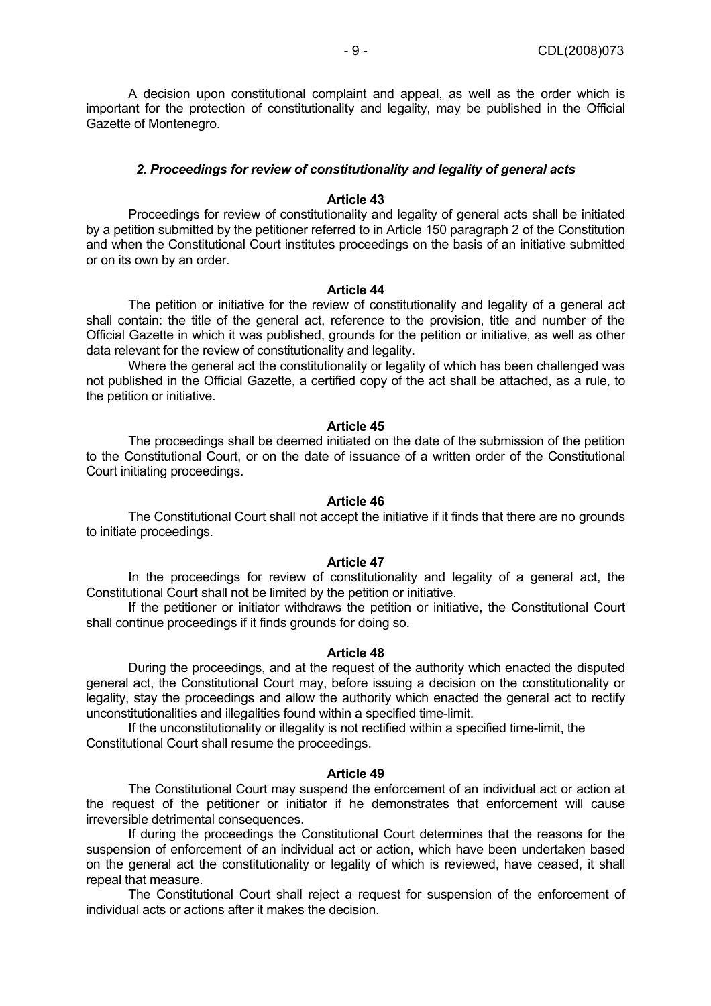A decision upon constitutional complaint and appeal, as well as the order which is important for the protection of constitutionality and legality, may be published in the Official Gazette of Montenegro.

#### *2. Proceedings for review of constitutionality and legality of general acts*

### **Article 43**

 Proceedings for review of constitutionality and legality of general acts shall be initiated by a petition submitted by the petitioner referred to in Article 150 paragraph 2 of the Constitution and when the Constitutional Court institutes proceedings on the basis of an initiative submitted or on its own by an order.

#### **Article 44**

 The petition or initiative for the review of constitutionality and legality of a general act shall contain: the title of the general act, reference to the provision, title and number of the Official Gazette in which it was published, grounds for the petition or initiative, as well as other data relevant for the review of constitutionality and legality.

Where the general act the constitutionality or legality of which has been challenged was not published in the Official Gazette, a certified copy of the act shall be attached, as a rule, to the petition or initiative.

#### **Article 45**

 The proceedings shall be deemed initiated on the date of the submission of the petition to the Constitutional Court, or on the date of issuance of a written order of the Constitutional Court initiating proceedings.

#### **Article 46**

 The Constitutional Court shall not accept the initiative if it finds that there are no grounds to initiate proceedings.

#### **Article 47**

In the proceedings for review of constitutionality and legality of a general act, the Constitutional Court shall not be limited by the petition or initiative.

 If the petitioner or initiator withdraws the petition or initiative, the Constitutional Court shall continue proceedings if it finds grounds for doing so.

### **Article 48**

 During the proceedings, and at the request of the authority which enacted the disputed general act, the Constitutional Court may, before issuing a decision on the constitutionality or legality, stay the proceedings and allow the authority which enacted the general act to rectify unconstitutionalities and illegalities found within a specified time-limit.

 If the unconstitutionality or illegality is not rectified within a specified time-limit, the Constitutional Court shall resume the proceedings.

#### **Article 49**

 The Constitutional Court may suspend the enforcement of an individual act or action at the request of the petitioner or initiator if he demonstrates that enforcement will cause irreversible detrimental consequences.

 If during the proceedings the Constitutional Court determines that the reasons for the suspension of enforcement of an individual act or action, which have been undertaken based on the general act the constitutionality or legality of which is reviewed, have ceased, it shall repeal that measure.

 The Constitutional Court shall reject a request for suspension of the enforcement of individual acts or actions after it makes the decision.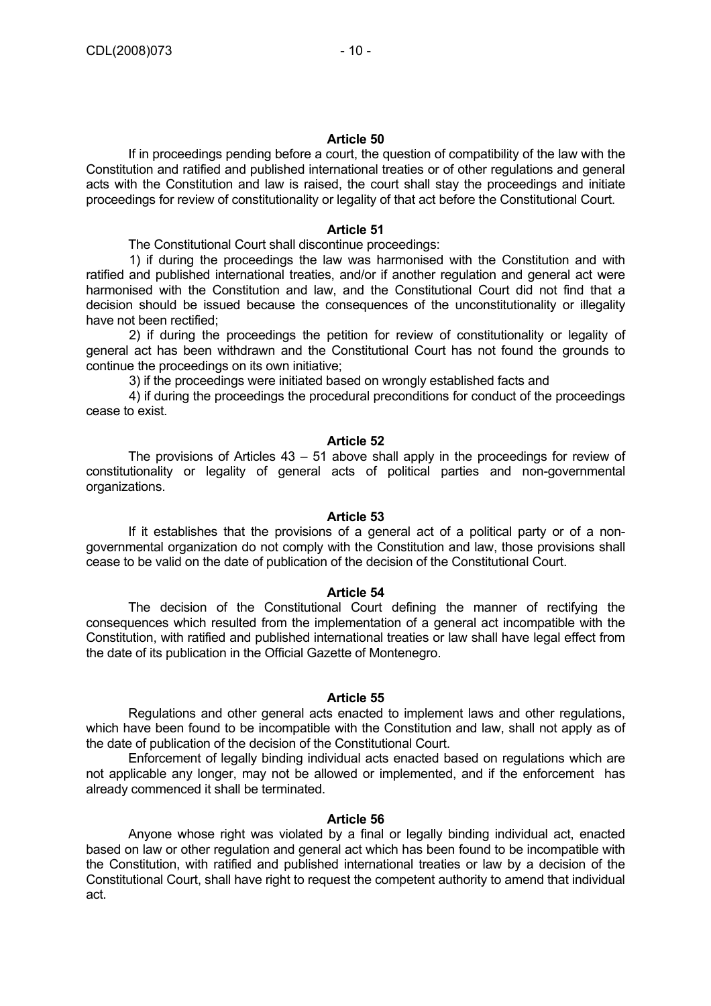If in proceedings pending before a court, the question of compatibility of the law with the Constitution and ratified and published international treaties or of other regulations and general acts with the Constitution and law is raised, the court shall stay the proceedings and initiate proceedings for review of constitutionality or legality of that act before the Constitutional Court.

# **Article 51**

The Constitutional Court shall discontinue proceedings:

1) if during the proceedings the law was harmonised with the Constitution and with ratified and published international treaties, and/or if another regulation and general act were harmonised with the Constitution and law, and the Constitutional Court did not find that a decision should be issued because the consequences of the unconstitutionality or illegality have not been rectified;

2) if during the proceedings the petition for review of constitutionality or legality of general act has been withdrawn and the Constitutional Court has not found the grounds to continue the proceedings on its own initiative;

3) if the proceedings were initiated based on wrongly established facts and

4) if during the proceedings the procedural preconditions for conduct of the proceedings cease to exist.

# **Article 52**

 The provisions of Articles 43 – 51 above shall apply in the proceedings for review of constitutionality or legality of general acts of political parties and non-governmental organizations.

# **Article 53**

If it establishes that the provisions of a general act of a political party or of a nongovernmental organization do not comply with the Constitution and law, those provisions shall cease to be valid on the date of publication of the decision of the Constitutional Court.

# **Article 54**

 The decision of the Constitutional Court defining the manner of rectifying the consequences which resulted from the implementation of a general act incompatible with the Constitution, with ratified and published international treaties or law shall have legal effect from the date of its publication in the Official Gazette of Montenegro.

# **Article 55**

 Regulations and other general acts enacted to implement laws and other regulations, which have been found to be incompatible with the Constitution and law, shall not apply as of the date of publication of the decision of the Constitutional Court.

 Enforcement of legally binding individual acts enacted based on regulations which are not applicable any longer, may not be allowed or implemented, and if the enforcement has already commenced it shall be terminated.

# **Article 56**

 Anyone whose right was violated by a final or legally binding individual act, enacted based on law or other regulation and general act which has been found to be incompatible with the Constitution, with ratified and published international treaties or law by a decision of the Constitutional Court, shall have right to request the competent authority to amend that individual act.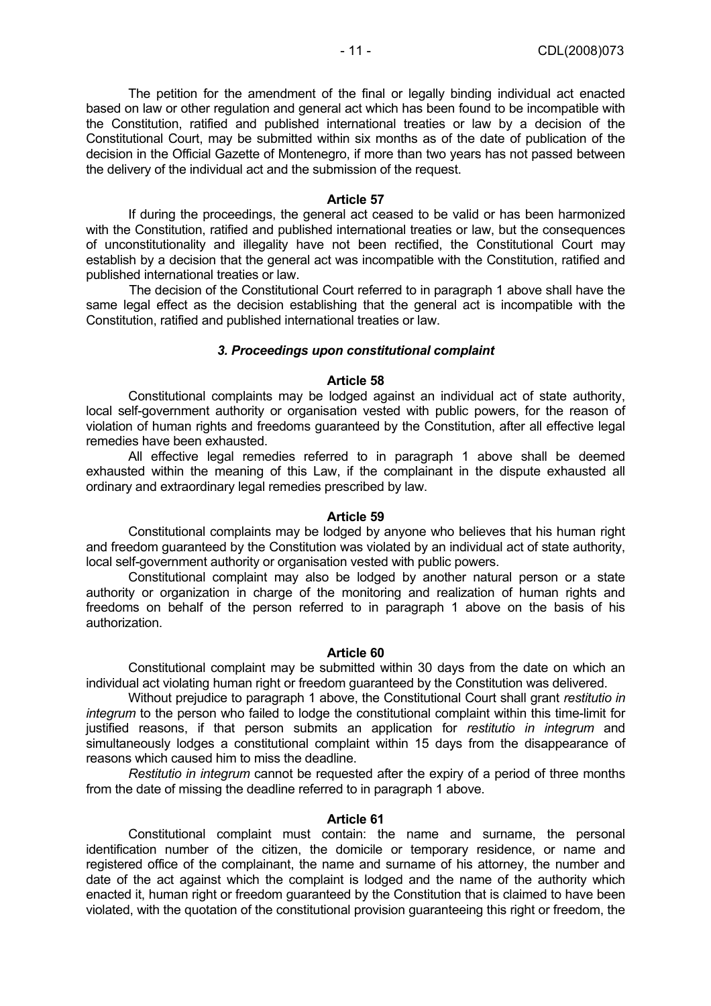The petition for the amendment of the final or legally binding individual act enacted based on law or other regulation and general act which has been found to be incompatible with the Constitution, ratified and published international treaties or law by a decision of the Constitutional Court, may be submitted within six months as of the date of publication of the decision in the Official Gazette of Montenegro, if more than two years has not passed between the delivery of the individual act and the submission of the request.

#### **Article 57**

 If during the proceedings, the general act ceased to be valid or has been harmonized with the Constitution, ratified and published international treaties or law, but the consequences of unconstitutionality and illegality have not been rectified, the Constitutional Court may establish by a decision that the general act was incompatible with the Constitution, ratified and published international treaties or law.

The decision of the Constitutional Court referred to in paragraph 1 above shall have the same legal effect as the decision establishing that the general act is incompatible with the Constitution, ratified and published international treaties or law.

#### *3. Proceedings upon constitutional complaint*

### **Article 58**

 Constitutional complaints may be lodged against an individual act of state authority, local self-government authority or organisation vested with public powers, for the reason of violation of human rights and freedoms guaranteed by the Constitution, after all effective legal remedies have been exhausted.

 All effective legal remedies referred to in paragraph 1 above shall be deemed exhausted within the meaning of this Law, if the complainant in the dispute exhausted all ordinary and extraordinary legal remedies prescribed by law.

## **Article 59**

 Constitutional complaints may be lodged by anyone who believes that his human right and freedom guaranteed by the Constitution was violated by an individual act of state authority, local self-government authority or organisation vested with public powers.

 Constitutional complaint may also be lodged by another natural person or a state authority or organization in charge of the monitoring and realization of human rights and freedoms on behalf of the person referred to in paragraph 1 above on the basis of his authorization.

### **Article 60**

 Constitutional complaint may be submitted within 30 days from the date on which an individual act violating human right or freedom guaranteed by the Constitution was delivered.

 Without prejudice to paragraph 1 above, the Constitutional Court shall grant *restitutio in integrum* to the person who failed to lodge the constitutional complaint within this time-limit for justified reasons, if that person submits an application for *restitutio in integrum* and simultaneously lodges a constitutional complaint within 15 days from the disappearance of reasons which caused him to miss the deadline.

*Restitutio in integrum* cannot be requested after the expiry of a period of three months from the date of missing the deadline referred to in paragraph 1 above.

#### **Article 61**

 Constitutional complaint must contain: the name and surname, the personal identification number of the citizen, the domicile or temporary residence, or name and registered office of the complainant, the name and surname of his attorney, the number and date of the act against which the complaint is lodged and the name of the authority which enacted it, human right or freedom guaranteed by the Constitution that is claimed to have been violated, with the quotation of the constitutional provision guaranteeing this right or freedom, the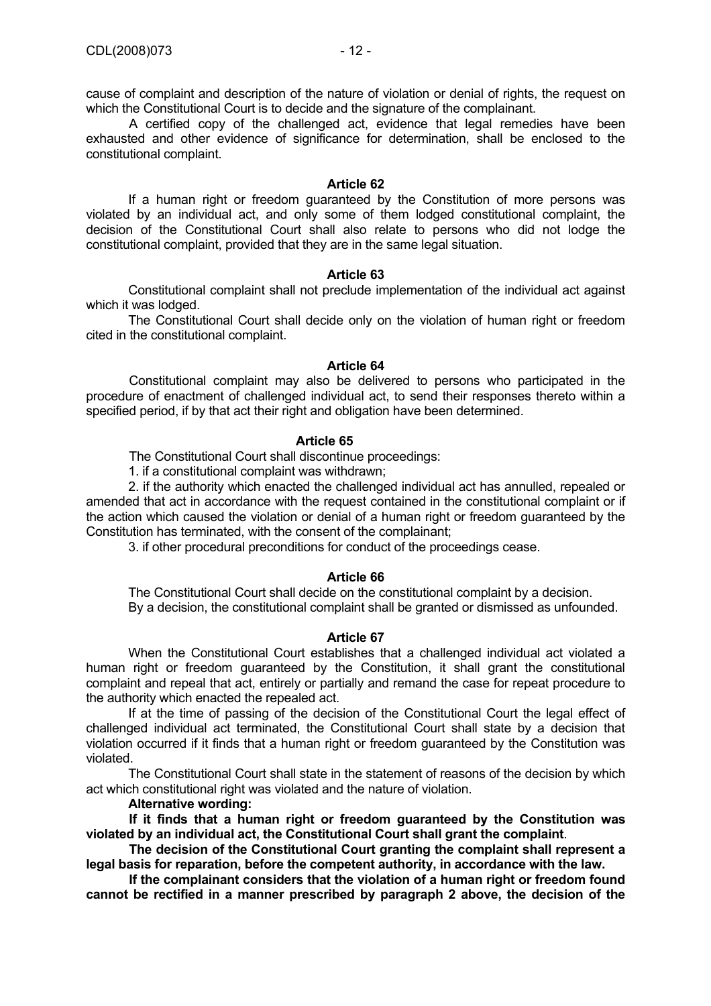cause of complaint and description of the nature of violation or denial of rights, the request on which the Constitutional Court is to decide and the signature of the complainant.

A certified copy of the challenged act, evidence that legal remedies have been exhausted and other evidence of significance for determination, shall be enclosed to the constitutional complaint.

#### **Article 62**

 If a human right or freedom guaranteed by the Constitution of more persons was violated by an individual act, and only some of them lodged constitutional complaint, the decision of the Constitutional Court shall also relate to persons who did not lodge the constitutional complaint, provided that they are in the same legal situation.

### **Article 63**

Constitutional complaint shall not preclude implementation of the individual act against which it was lodged.

 The Constitutional Court shall decide only on the violation of human right or freedom cited in the constitutional complaint.

### **Article 64**

Constitutional complaint may also be delivered to persons who participated in the procedure of enactment of challenged individual act, to send their responses thereto within a specified period, if by that act their right and obligation have been determined.

#### **Article 65**

The Constitutional Court shall discontinue proceedings:

1. if a constitutional complaint was withdrawn;

 2. if the authority which enacted the challenged individual act has annulled, repealed or amended that act in accordance with the request contained in the constitutional complaint or if the action which caused the violation or denial of a human right or freedom guaranteed by the Constitution has terminated, with the consent of the complainant;

3. if other procedural preconditions for conduct of the proceedings cease.

# **Article 66**

The Constitutional Court shall decide on the constitutional complaint by a decision. By a decision, the constitutional complaint shall be granted or dismissed as unfounded.

# **Article 67**

 When the Constitutional Court establishes that a challenged individual act violated a human right or freedom guaranteed by the Constitution, it shall grant the constitutional complaint and repeal that act, entirely or partially and remand the case for repeat procedure to the authority which enacted the repealed act.

 If at the time of passing of the decision of the Constitutional Court the legal effect of challenged individual act terminated, the Constitutional Court shall state by a decision that violation occurred if it finds that a human right or freedom guaranteed by the Constitution was violated.

 The Constitutional Court shall state in the statement of reasons of the decision by which act which constitutional right was violated and the nature of violation.

# **Alternative wording:**

**If it finds that a human right or freedom guaranteed by the Constitution was violated by an individual act, the Constitutional Court shall grant the complaint**.

**The decision of the Constitutional Court granting the complaint shall represent a legal basis for reparation, before the competent authority, in accordance with the law.** 

**If the complainant considers that the violation of a human right or freedom found cannot be rectified in a manner prescribed by paragraph 2 above, the decision of the**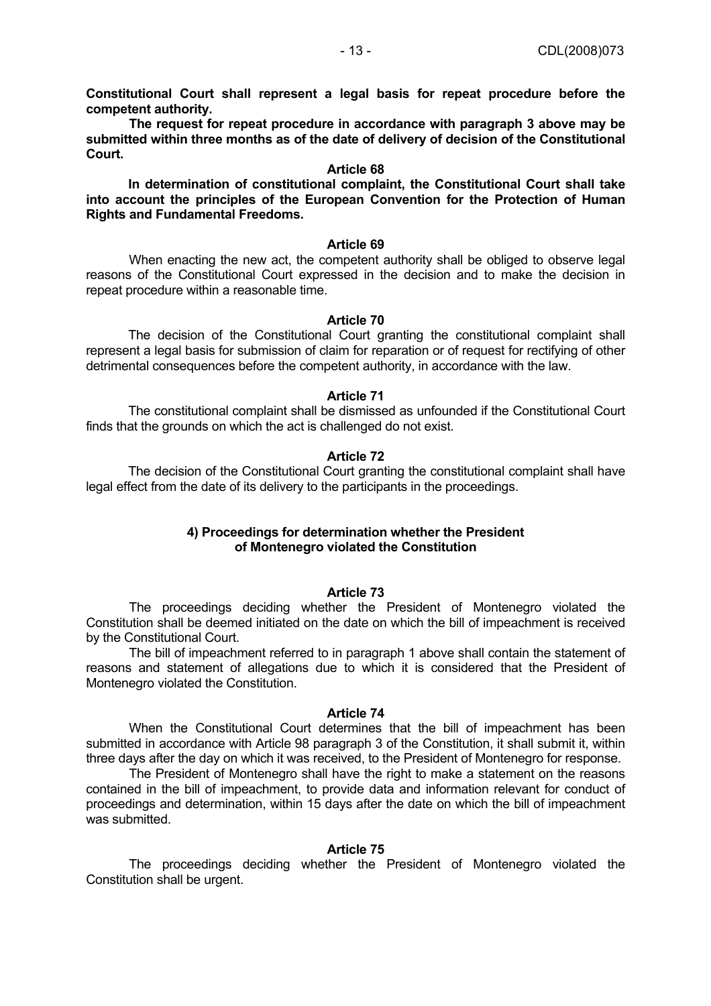**Constitutional Court shall represent a legal basis for repeat procedure before the competent authority.** 

**The request for repeat procedure in accordance with paragraph 3 above may be submitted within three months as of the date of delivery of decision of the Constitutional Court.** 

# **Article 68**

 **In determination of constitutional complaint, the Constitutional Court shall take into account the principles of the European Convention for the Protection of Human Rights and Fundamental Freedoms.** 

#### **Article 69**

When enacting the new act, the competent authority shall be obliged to observe legal reasons of the Constitutional Court expressed in the decision and to make the decision in repeat procedure within a reasonable time.

## **Article 70**

 The decision of the Constitutional Court granting the constitutional complaint shall represent a legal basis for submission of claim for reparation or of request for rectifying of other detrimental consequences before the competent authority, in accordance with the law.

#### **Article 71**

 The constitutional complaint shall be dismissed as unfounded if the Constitutional Court finds that the grounds on which the act is challenged do not exist.

#### **Article 72**

 The decision of the Constitutional Court granting the constitutional complaint shall have legal effect from the date of its delivery to the participants in the proceedings.

# **4) Proceedings for determination whether the President of Montenegro violated the Constitution**

### **Article 73**

The proceedings deciding whether the President of Montenegro violated the Constitution shall be deemed initiated on the date on which the bill of impeachment is received by the Constitutional Court.

The bill of impeachment referred to in paragraph 1 above shall contain the statement of reasons and statement of allegations due to which it is considered that the President of Montenegro violated the Constitution.

#### **Article 74**

When the Constitutional Court determines that the bill of impeachment has been submitted in accordance with Article 98 paragraph 3 of the Constitution, it shall submit it, within three days after the day on which it was received, to the President of Montenegro for response.

The President of Montenegro shall have the right to make a statement on the reasons contained in the bill of impeachment, to provide data and information relevant for conduct of proceedings and determination, within 15 days after the date on which the bill of impeachment was submitted.

# **Article 75**

The proceedings deciding whether the President of Montenegro violated the Constitution shall be urgent.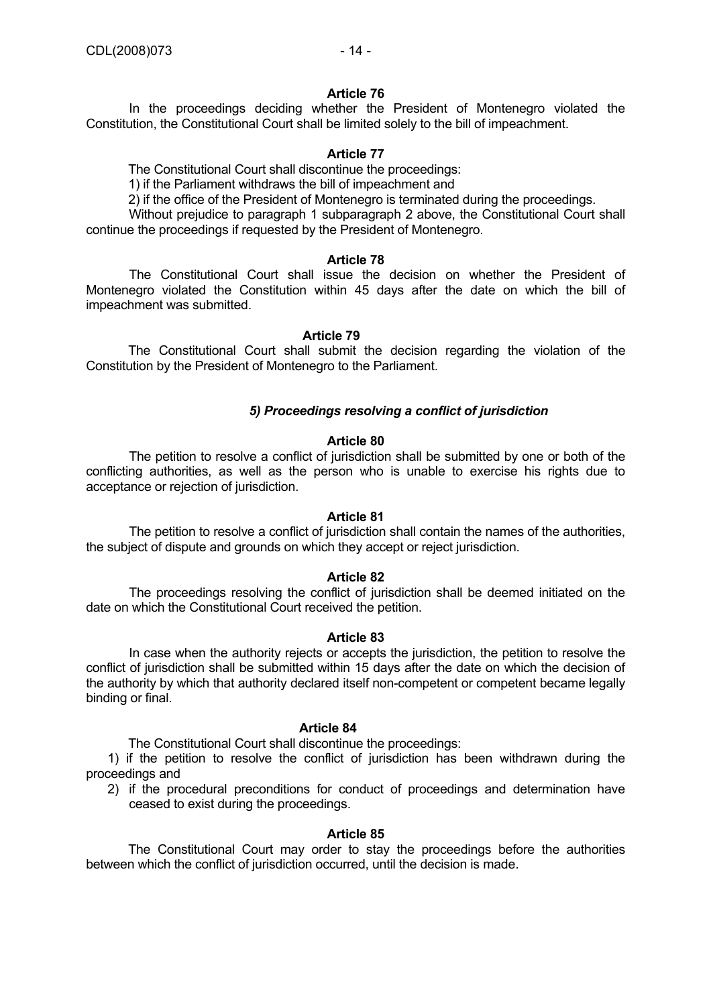In the proceedings deciding whether the President of Montenegro violated the Constitution, the Constitutional Court shall be limited solely to the bill of impeachment.

# **Article 77**

The Constitutional Court shall discontinue the proceedings:

1) if the Parliament withdraws the bill of impeachment and

2) if the office of the President of Montenegro is terminated during the proceedings.

Without prejudice to paragraph 1 subparagraph 2 above, the Constitutional Court shall continue the proceedings if requested by the President of Montenegro.

# **Article 78**

The Constitutional Court shall issue the decision on whether the President of Montenegro violated the Constitution within 45 days after the date on which the bill of impeachment was submitted.

# **Article 79**

 The Constitutional Court shall submit the decision regarding the violation of the Constitution by the President of Montenegro to the Parliament.

# *5) Proceedings resolving a conflict of jurisdiction*

# **Article 80**

The petition to resolve a conflict of jurisdiction shall be submitted by one or both of the conflicting authorities, as well as the person who is unable to exercise his rights due to acceptance or rejection of jurisdiction.

# **Article 81**

The petition to resolve a conflict of jurisdiction shall contain the names of the authorities, the subject of dispute and grounds on which they accept or reject jurisdiction.

# **Article 82**

The proceedings resolving the conflict of jurisdiction shall be deemed initiated on the date on which the Constitutional Court received the petition.

# **Article 83**

In case when the authority rejects or accepts the jurisdiction, the petition to resolve the conflict of jurisdiction shall be submitted within 15 days after the date on which the decision of the authority by which that authority declared itself non-competent or competent became legally binding or final.

# **Article 84**

The Constitutional Court shall discontinue the proceedings:

1) if the petition to resolve the conflict of jurisdiction has been withdrawn during the proceedings and

2) if the procedural preconditions for conduct of proceedings and determination have ceased to exist during the proceedings.

# **Article 85**

 The Constitutional Court may order to stay the proceedings before the authorities between which the conflict of jurisdiction occurred, until the decision is made.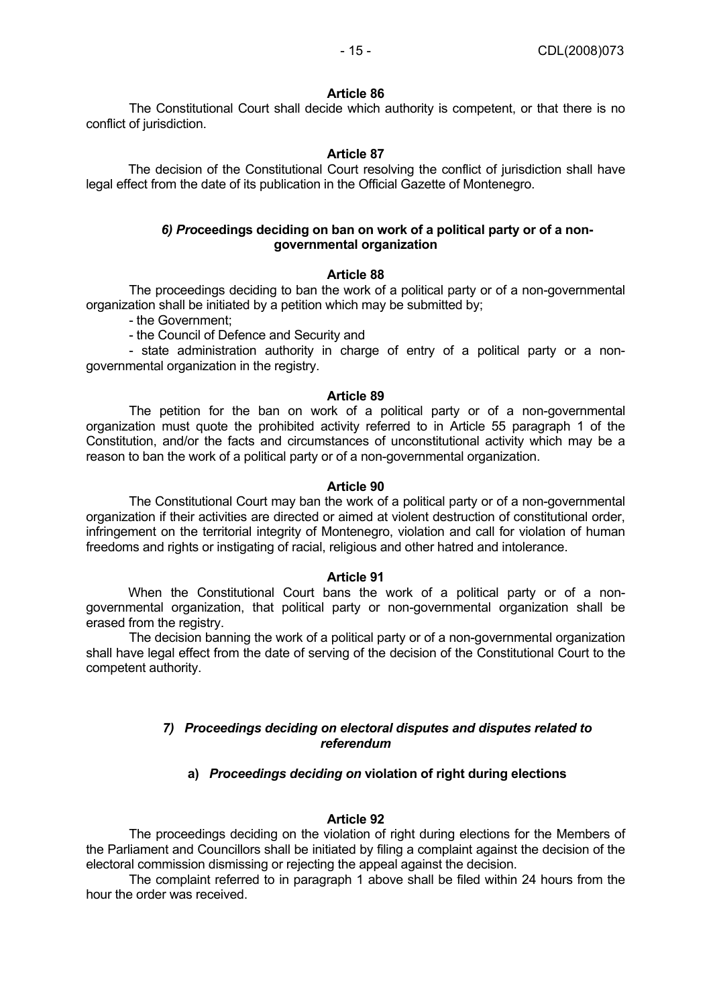The Constitutional Court shall decide which authority is competent, or that there is no conflict of jurisdiction.

# **Article 87**

 The decision of the Constitutional Court resolving the conflict of jurisdiction shall have legal effect from the date of its publication in the Official Gazette of Montenegro.

# *6) Pro***ceedings deciding on ban on work of a political party or of a nongovernmental organization**

# **Article 88**

The proceedings deciding to ban the work of a political party or of a non-governmental organization shall be initiated by a petition which may be submitted by;

- the Government;

- the Council of Defence and Security and

- state administration authority in charge of entry of a political party or a nongovernmental organization in the registry.

# **Article 89**

The petition for the ban on work of a political party or of a non-governmental organization must quote the prohibited activity referred to in Article 55 paragraph 1 of the Constitution, and/or the facts and circumstances of unconstitutional activity which may be a reason to ban the work of a political party or of a non-governmental organization.

# **Article 90**

The Constitutional Court may ban the work of a political party or of a non-governmental organization if their activities are directed or aimed at violent destruction of constitutional order, infringement on the territorial integrity of Montenegro, violation and call for violation of human freedoms and rights or instigating of racial, religious and other hatred and intolerance.

# **Article 91**

 When the Constitutional Court bans the work of a political party or of a nongovernmental organization, that political party or non-governmental organization shall be erased from the registry.

The decision banning the work of a political party or of a non-governmental organization shall have legal effect from the date of serving of the decision of the Constitutional Court to the competent authority.

# *7) Proceedings deciding on electoral disputes and disputes related to referendum*

# **a)** *Proceedings deciding on* **violation of right during elections**

# **Article 92**

The proceedings deciding on the violation of right during elections for the Members of the Parliament and Councillors shall be initiated by filing a complaint against the decision of the electoral commission dismissing or rejecting the appeal against the decision.

The complaint referred to in paragraph 1 above shall be filed within 24 hours from the hour the order was received.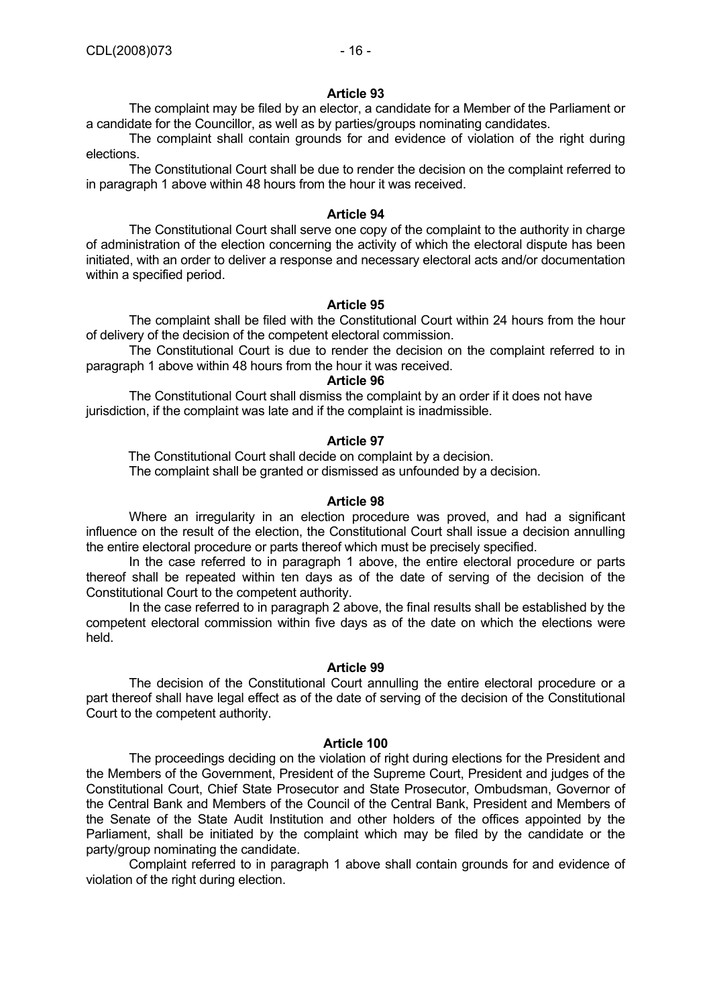The complaint may be filed by an elector, a candidate for a Member of the Parliament or a candidate for the Councillor, as well as by parties/groups nominating candidates.

The complaint shall contain grounds for and evidence of violation of the right during elections.

The Constitutional Court shall be due to render the decision on the complaint referred to in paragraph 1 above within 48 hours from the hour it was received.

# **Article 94**

The Constitutional Court shall serve one copy of the complaint to the authority in charge of administration of the election concerning the activity of which the electoral dispute has been initiated, with an order to deliver a response and necessary electoral acts and/or documentation within a specified period.

# **Article 95**

The complaint shall be filed with the Constitutional Court within 24 hours from the hour of delivery of the decision of the competent electoral commission.

The Constitutional Court is due to render the decision on the complaint referred to in paragraph 1 above within 48 hours from the hour it was received.

# **Article 96**

The Constitutional Court shall dismiss the complaint by an order if it does not have jurisdiction, if the complaint was late and if the complaint is inadmissible.

# **Article 97**

 The Constitutional Court shall decide on complaint by a decision. The complaint shall be granted or dismissed as unfounded by a decision.

# **Article 98**

Where an irregularity in an election procedure was proved, and had a significant influence on the result of the election, the Constitutional Court shall issue a decision annulling the entire electoral procedure or parts thereof which must be precisely specified.

In the case referred to in paragraph 1 above, the entire electoral procedure or parts thereof shall be repeated within ten days as of the date of serving of the decision of the Constitutional Court to the competent authority.

In the case referred to in paragraph 2 above, the final results shall be established by the competent electoral commission within five days as of the date on which the elections were held.

# **Article 99**

The decision of the Constitutional Court annulling the entire electoral procedure or a part thereof shall have legal effect as of the date of serving of the decision of the Constitutional Court to the competent authority.

# **Article 100**

The proceedings deciding on the violation of right during elections for the President and the Members of the Government, President of the Supreme Court, President and judges of the Constitutional Court, Chief State Prosecutor and State Prosecutor, Ombudsman, Governor of the Central Bank and Members of the Council of the Central Bank, President and Members of the Senate of the State Audit Institution and other holders of the offices appointed by the Parliament, shall be initiated by the complaint which may be filed by the candidate or the party/group nominating the candidate.

Complaint referred to in paragraph 1 above shall contain grounds for and evidence of violation of the right during election.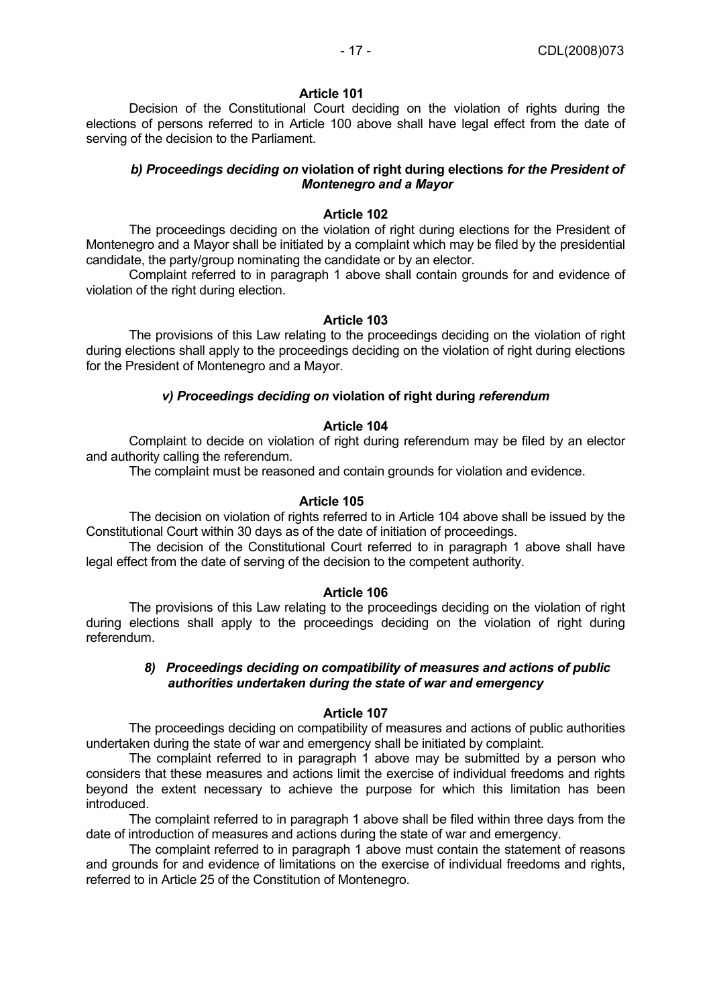Decision of the Constitutional Court deciding on the violation of rights during the elections of persons referred to in Article 100 above shall have legal effect from the date of serving of the decision to the Parliament.

# *b) Proceedings deciding on* **violation of right during elections** *for the President of Montenegro and a Mayor*

## **Article 102**

The proceedings deciding on the violation of right during elections for the President of Montenegro and a Mayor shall be initiated by a complaint which may be filed by the presidential candidate, the party/group nominating the candidate or by an elector.

Complaint referred to in paragraph 1 above shall contain grounds for and evidence of violation of the right during election.

### **Article 103**

The provisions of this Law relating to the proceedings deciding on the violation of right during elections shall apply to the proceedings deciding on the violation of right during elections for the President of Montenegro and a Mayor.

# *v) Proceedings deciding on* **violation of right during** *referendum*

# **Article 104**

Complaint to decide on violation of right during referendum may be filed by an elector and authority calling the referendum.

The complaint must be reasoned and contain grounds for violation and evidence.

## **Article 105**

The decision on violation of rights referred to in Article 104 above shall be issued by the Constitutional Court within 30 days as of the date of initiation of proceedings.

The decision of the Constitutional Court referred to in paragraph 1 above shall have legal effect from the date of serving of the decision to the competent authority.

# **Article 106**

The provisions of this Law relating to the proceedings deciding on the violation of right during elections shall apply to the proceedings deciding on the violation of right during referendum.

# *8) Proceedings deciding on compatibility of measures and actions of public authorities undertaken during the state of war and emergency*

# **Article 107**

The proceedings deciding on compatibility of measures and actions of public authorities undertaken during the state of war and emergency shall be initiated by complaint.

The complaint referred to in paragraph 1 above may be submitted by a person who considers that these measures and actions limit the exercise of individual freedoms and rights beyond the extent necessary to achieve the purpose for which this limitation has been introduced.

The complaint referred to in paragraph 1 above shall be filed within three days from the date of introduction of measures and actions during the state of war and emergency.

The complaint referred to in paragraph 1 above must contain the statement of reasons and grounds for and evidence of limitations on the exercise of individual freedoms and rights, referred to in Article 25 of the Constitution of Montenegro.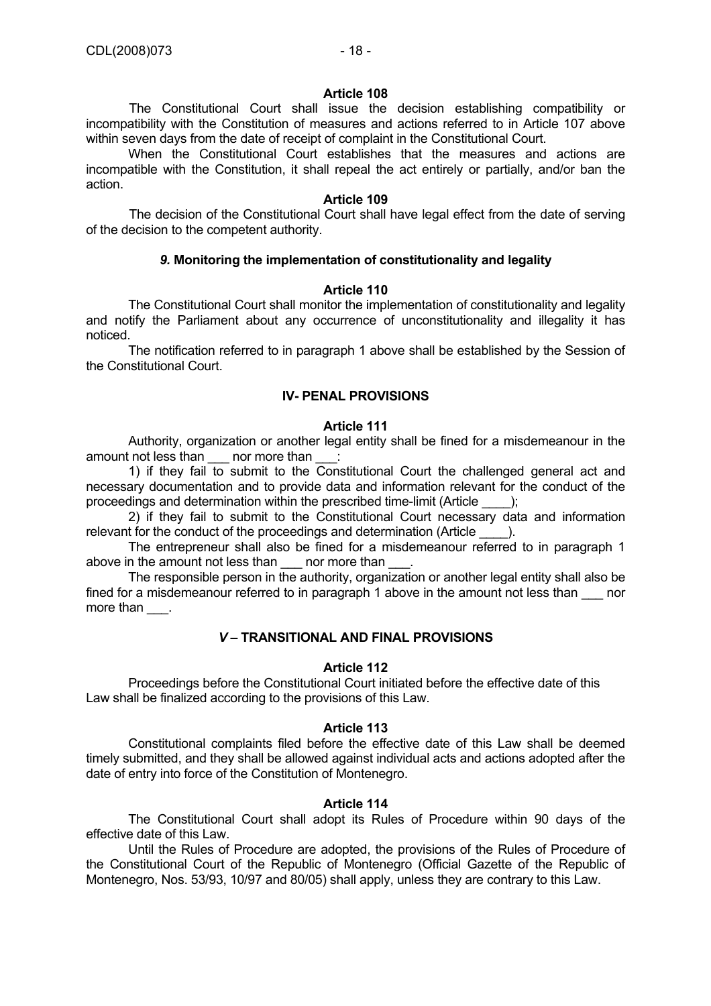The Constitutional Court shall issue the decision establishing compatibility or incompatibility with the Constitution of measures and actions referred to in Article 107 above within seven days from the date of receipt of complaint in the Constitutional Court.

 When the Constitutional Court establishes that the measures and actions are incompatible with the Constitution, it shall repeal the act entirely or partially, and/or ban the action.

# **Article 109**

The decision of the Constitutional Court shall have legal effect from the date of serving of the decision to the competent authority.

# *9.* **Monitoring the implementation of constitutionality and legality**

# **Article 110**

 The Constitutional Court shall monitor the implementation of constitutionality and legality and notify the Parliament about any occurrence of unconstitutionality and illegality it has noticed.

 The notification referred to in paragraph 1 above shall be established by the Session of the Constitutional Court.

# **IV- PENAL PROVISIONS**

# **Article 111**

 Authority, organization or another legal entity shall be fined for a misdemeanour in the amount not less than \_\_\_\_ nor more than

1) if they fail to submit to the  $\overline{\text{Constitutional}}$  Court the challenged general act and necessary documentation and to provide data and information relevant for the conduct of the proceedings and determination within the prescribed time-limit (Article \_\_\_\_);

 2) if they fail to submit to the Constitutional Court necessary data and information relevant for the conduct of the proceedings and determination (Article  $\qquad$  ).

 The entrepreneur shall also be fined for a misdemeanour referred to in paragraph 1 above in the amount not less than \_\_\_\_ nor more than

 The responsible person in the authority, organization or another legal entity shall also be fined for a misdemeanour referred to in paragraph 1 above in the amount not less than nor more than \_\_\_.

# *V –* **TRANSITIONAL AND FINAL PROVISIONS**

# **Article 112**

 Proceedings before the Constitutional Court initiated before the effective date of this Law shall be finalized according to the provisions of this Law.

# **Article 113**

 Constitutional complaints filed before the effective date of this Law shall be deemed timely submitted, and they shall be allowed against individual acts and actions adopted after the date of entry into force of the Constitution of Montenegro.

# **Article 114**

 The Constitutional Court shall adopt its Rules of Procedure within 90 days of the effective date of this Law.

 Until the Rules of Procedure are adopted, the provisions of the Rules of Procedure of the Constitutional Court of the Republic of Montenegro (Official Gazette of the Republic of Montenegro, Nos. 53/93, 10/97 and 80/05) shall apply, unless they are contrary to this Law.